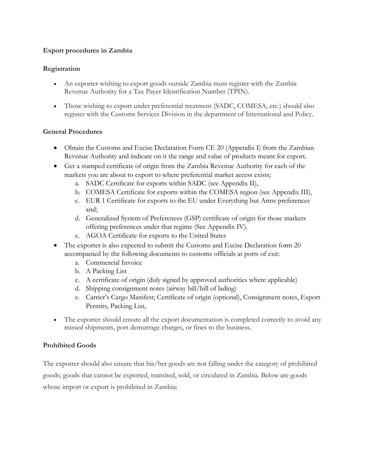## **Export procedures in Zambia**

## **Registration**

- An exporter wishing to export goods outside Zambia must register with the Zambia Revenue Authority for a Tax Payer Identification Number (TPIN).
- Those wishing to export under preferential treatment (SADC, COMESA, etc.) should also register with the Customs Services Division in the department of International and Policy.

### **General Procedures**

- Obtain the Customs and Excise Declaration Form CE 20 (Appendix I) from the Zambian Revenue Authority and indicate on it the range and value of products meant for export.
- Get a stamped certificate of origin from the Zambia Revenue Authority for each of the markets you are about to export to where preferential market access exists;
	- a. SADC Certificate for exports within SADC (see Appendix II),
	- b. COMESA Certificate for exports within the COMESA region (see Appendix III),
	- c. EUR 1 Certificate for exports to the EU under Everything but Arms preferences and;
	- d. Generalized System of Preferences (GSP) certificate of origin for those markets offering preferences under that regime (See Appendix IV).
	- e. AGOA Certificate for exports to the United States
- The exporter is also expected to submit the Customs and Excise Declaration form 20 accompanied by the following documents to customs officials at ports of exit:
	- a. Commercial Invoice
	- b. A Packing List
	- c. A certificate of origin (duly signed by approved authorities where applicable)
	- d. Shipping consignment notes (airway bill/bill of lading)
	- e. Carrier's Cargo Manifest; Certificate of origin (optional), Consignment notes, Export Permits, Packing List,
- The exporter should ensure all the export documentation is completed correctly to avoid any missed shipments, port demurrage charges, or fines to the business.

# **Prohibited Goods**

The exporter should also ensure that his/her goods are not falling under the category of prohibited goods; goods that cannot be exported, transited, sold, or circulated in Zambia. Below are goods whose import or export is prohibited in Zambia: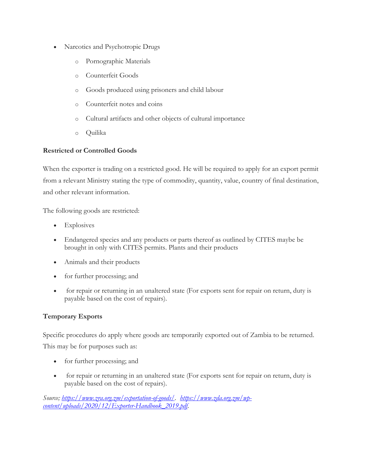- Narcotics and Psychotropic Drugs
	- o Pornographic Materials
	- o Counterfeit Goods
	- o Goods produced using prisoners and child labour
	- o Counterfeit notes and coins
	- o Cultural artifacts and other objects of cultural importance
	- o Quilika

### **Restricted or Controlled Goods**

When the exporter is trading on a restricted good. He will be required to apply for an export permit from a relevant Ministry stating the type of commodity, quantity, value, country of final destination, and other relevant information.

The following goods are restricted:

- Explosives
- Endangered species and any products or parts thereof as outlined by CITES maybe be brought in only with CITES permits. Plants and their products
- Animals and their products
- for further processing; and
- for repair or returning in an unaltered state (For exports sent for repair on return, duty is payable based on the cost of repairs).

# **Temporary Exports**

Specific procedures do apply where goods are temporarily exported out of Zambia to be returned. This may be for purposes such as:

- for further processing; and
- for repair or returning in an unaltered state (For exports sent for repair on return, duty is payable based on the cost of repairs).

*Source; [https://www.zra.org.zm/exportation-of-goods/.](https://www.zra.org.zm/exportation-of-goods/) [https://www.zda.org.zm/wp](https://www.zda.org.zm/wp-content/uploads/2020/12/Exporter-Handbook_2019.pdf)[content/uploads/2020/12/Exporter-Handbook\\_2019.pdf.](https://www.zda.org.zm/wp-content/uploads/2020/12/Exporter-Handbook_2019.pdf)*